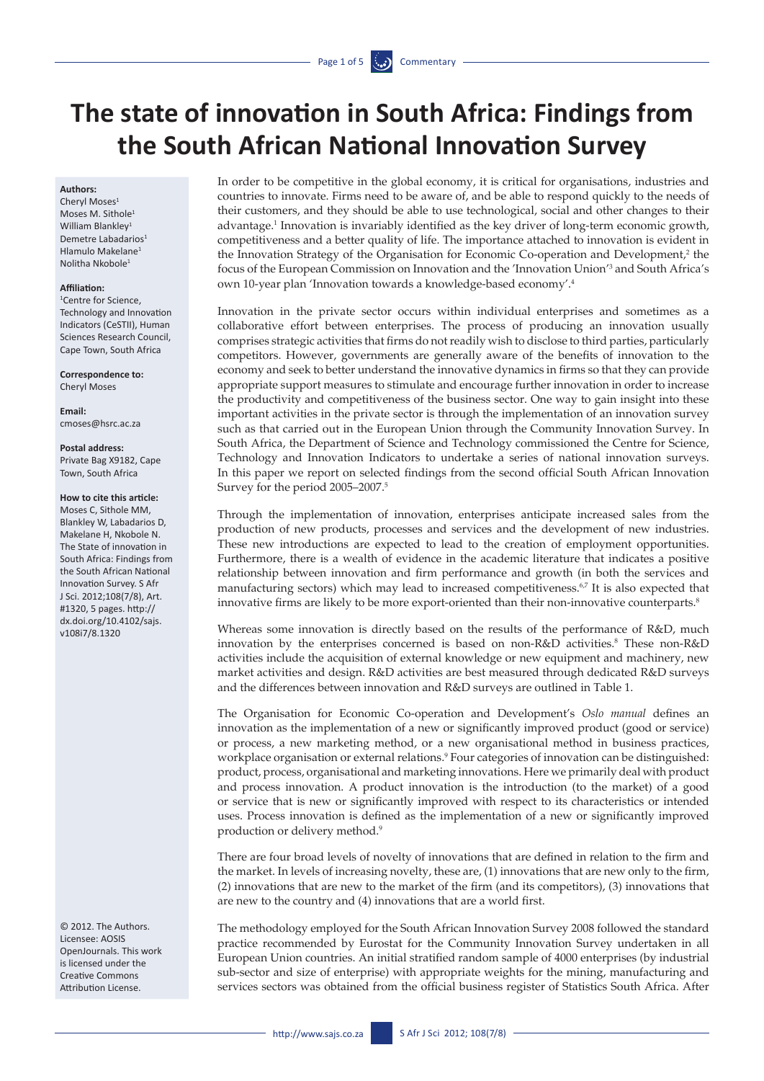# **The state of innovation in South Africa: Findings from the South African National Innovation Survey**

### **Authors:**

Cheryl Moses<sup>1</sup> Moses M. Sithole<sup>1</sup> William Blankley<sup>1</sup> Demetre Labadarios<sup>1</sup> Hlamulo Makelane1 Nolitha Nkobole1

### **Affiliation:**

1 Centre for Science, Technology and Innovation Indicators (CeSTII), Human Sciences Research Council, Cape Town, South Africa

**Correspondence to:**  Cheryl Moses

**Email:**  [cmoses@hsrc.ac.za](mailto:cmoses@hsrc.ac.za)

#### **Postal address:** Private Bag X9182, Cape Town, South Africa

## **How to cite this article:**

Moses C, Sithole MM Blankley W, Labadarios D, Makelane H, Nkobole N. The State of innovation in South Africa: Findings from the South African National Innovation Survey. S Afr J Sci. 2012;108(7/8), Art. #1320, 5 pages. http:// dx.doi.org/10.4102/sajs. v108i7/8.1320

© 2012. The Authors. Licensee: AOSIS OpenJournals. This work is licensed under the Creative Commons Attribution License.

In order to be competitive in the global economy, it is critical for organisations, industries and countries to innovate. Firms need to be aware of, and be able to respond quickly to the needs of their customers, and they should be able to use technological, social and other changes to their advantage.<sup>1</sup> Innovation is invariably identified as the key driver of long-term economic growth, competitiveness and a better quality of life. The importance attached to innovation is evident in the Innovation Strategy of the Organisation for Economic Co-operation and Development,<sup>2</sup> the focus of the European Commission on Innovation and the 'Innovation Union'3 and South Africa's own 10-year plan 'Innovation towards a knowledge-based economy'.4

Innovation in the private sector occurs within individual enterprises and sometimes as a collaborative effort between enterprises. The process of producing an innovation usually comprises strategic activities that firms do not readily wish to disclose to third parties, particularly competitors. However, governments are generally aware of the benefits of innovation to the economy and seek to better understand the innovative dynamics in firms so that they can provide appropriate support measures to stimulate and encourage further innovation in order to increase the productivity and competitiveness of the business sector. One way to gain insight into these important activities in the private sector is through the implementation of an innovation survey such as that carried out in the European Union through the Community Innovation Survey. In South Africa, the Department of Science and Technology commissioned the Centre for Science, Technology and Innovation Indicators to undertake a series of national innovation surveys. In this paper we report on selected findings from the second official South African Innovation Survey for the period 2005–2007.5

Through the implementation of innovation, enterprises anticipate increased sales from the production of new products, processes and services and the development of new industries. These new introductions are expected to lead to the creation of employment opportunities. Furthermore, there is a wealth of evidence in the academic literature that indicates a positive relationship between innovation and firm performance and growth (in both the services and manufacturing sectors) which may lead to increased competitiveness.6,7 It is also expected that innovative firms are likely to be more export-oriented than their non-innovative counterparts.<sup>8</sup>

Whereas some innovation is directly based on the results of the performance of R&D, much innovation by the enterprises concerned is based on non-R&D activities.<sup>8</sup> These non-R&D activities include the acquisition of external knowledge or new equipment and machinery, new market activities and design. R&D activities are best measured through dedicated R&D surveys and the differences between innovation and R&D surveys are outlined in Table 1.

The Organisation for Economic Co-operation and Development's *Oslo manual* defines an innovation as the implementation of a new or significantly improved product (good or service) or process, a new marketing method, or a new organisational method in business practices, workplace organisation or external relations.<sup>9</sup> Four categories of innovation can be distinguished: product, process, organisational and marketing innovations. Here we primarily deal with product and process innovation. A product innovation is the introduction (to the market) of a good or service that is new or significantly improved with respect to its characteristics or intended uses. Process innovation is defined as the implementation of a new or significantly improved production or delivery method.9

There are four broad levels of novelty of innovations that are defined in relation to the firm and the market. In levels of increasing novelty, these are, (1) innovations that are new only to the firm, (2) innovations that are new to the market of the firm (and its competitors), (3) innovations that are new to the country and (4) innovations that are a world first.

The methodology employed for the South African Innovation Survey 2008 followed the standard practice recommended by Eurostat for the Community Innovation Survey undertaken in all European Union countries. An initial stratified random sample of 4000 enterprises (by industrial sub-sector and size of enterprise) with appropriate weights for the mining, manufacturing and services sectors was obtained from the official business register of Statistics South Africa. After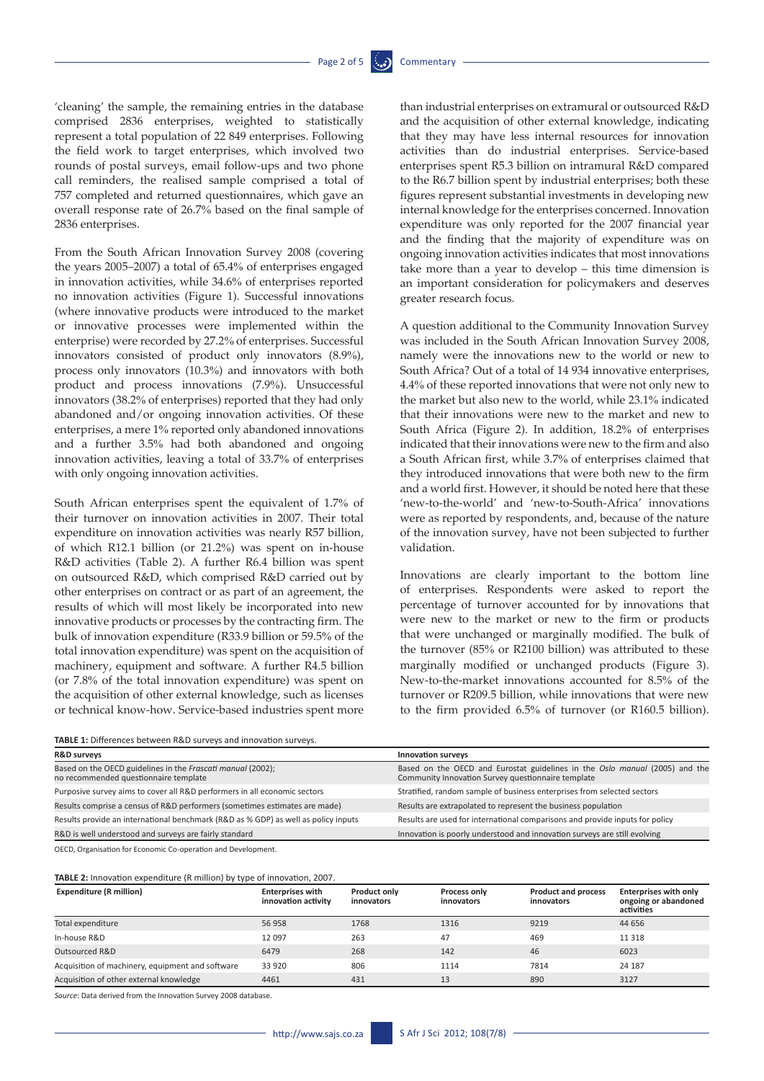'cleaning' the sample, the remaining entries in the database comprised 2836 enterprises, weighted to statistically represent a total population of 22 849 enterprises. Following the field work to target enterprises, which involved two rounds of postal surveys, email follow-ups and two phone call reminders, the realised sample comprised a total of 757 completed and returned questionnaires, which gave an overall response rate of 26.7% based on the final sample of 2836 enterprises.

From the South African Innovation Survey 2008 (covering the years 2005–2007) a total of 65.4% of enterprises engaged in innovation activities, while 34.6% of enterprises reported no innovation activities (Figure 1). Successful innovations (where innovative products were introduced to the market or innovative processes were implemented within the enterprise) were recorded by 27.2% of enterprises. Successful innovators consisted of product only innovators (8.9%), process only innovators (10.3%) and innovators with both product and process innovations (7.9%). Unsuccessful innovators (38.2% of enterprises) reported that they had only abandoned and/or ongoing innovation activities. Of these enterprises, a mere 1% reported only abandoned innovations and a further 3.5% had both abandoned and ongoing innovation activities, leaving a total of 33.7% of enterprises with only ongoing innovation activities.

South African enterprises spent the equivalent of 1.7% of their turnover on innovation activities in 2007. Their total expenditure on innovation activities was nearly R57 billion, of which R12.1 billion (or 21.2%) was spent on in-house R&D activities (Table 2). A further R6.4 billion was spent on outsourced R&D, which comprised R&D carried out by other enterprises on contract or as part of an agreement, the results of which will most likely be incorporated into new innovative products or processes by the contracting firm. The bulk of innovation expenditure (R33.9 billion or 59.5% of the total innovation expenditure) was spent on the acquisition of machinery, equipment and software. A further R4.5 billion (or 7.8% of the total innovation expenditure) was spent on the acquisition of other external knowledge, such as licenses or technical know-how. Service-based industries spent more

**TABLE 1:** Differences between R&D surveys and innovation surveys.

| than industrial enterprises on extramural or outsourced R&D     |
|-----------------------------------------------------------------|
| and the acquisition of other external knowledge, indicating     |
| that they may have less internal resources for innovation       |
| activities than do industrial enterprises. Service-based        |
| enterprises spent R5.3 billion on intramural R&D compared       |
| to the R6.7 billion spent by industrial enterprises; both these |
| figures represent substantial investments in developing new     |
| internal knowledge for the enterprises concerned. Innovation    |
| expenditure was only reported for the 2007 financial year       |
| and the finding that the majority of expenditure was on         |
| ongoing innovation activities indicates that most innovations   |
| take more than a year to develop $-$ this time dimension is     |
| an important consideration for policymakers and deserves        |
| greater research focus.                                         |

A question additional to the Community Innovation Survey was included in the South African Innovation Survey 2008, namely were the innovations new to the world or new to South Africa? Out of a total of 14 934 innovative enterprises, 4.4% of these reported innovations that were not only new to the market but also new to the world, while 23.1% indicated that their innovations were new to the market and new to South Africa (Figure 2). In addition, 18.2% of enterprises indicated that their innovations were new to the firm and also a South African first, while 3.7% of enterprises claimed that they introduced innovations that were both new to the firm and a world first. However, it should be noted here that these 'new-to-the-world' and 'new-to-South-Africa' innovations were as reported by respondents, and, because of the nature of the innovation survey, have not been subjected to further validation.

Innovations are clearly important to the bottom line of enterprises. Respondents were asked to report the percentage of turnover accounted for by innovations that were new to the market or new to the firm or products that were unchanged or marginally modified. The bulk of the turnover (85% or R2100 billion) was attributed to these marginally modified or unchanged products (Figure 3). New-to-the-market innovations accounted for 8.5% of the turnover or R209.5 billion, while innovations that were new to the firm provided 6.5% of turnover (or R160.5 billion).

| <b>R&amp;D surveys</b>                                                                               | Innovation surveys                                                                                                                |  |  |  |  |
|------------------------------------------------------------------------------------------------------|-----------------------------------------------------------------------------------------------------------------------------------|--|--|--|--|
| Based on the OECD guidelines in the Frascati manual (2002);<br>no recommended questionnaire template | Based on the OECD and Eurostat guidelines in the Oslo manual (2005) and the<br>Community Innovation Survey questionnaire template |  |  |  |  |
| Purposive survey aims to cover all R&D performers in all economic sectors                            | Stratified, random sample of business enterprises from selected sectors                                                           |  |  |  |  |
| Results comprise a census of R&D performers (sometimes estimates are made)                           | Results are extrapolated to represent the business population                                                                     |  |  |  |  |
| Results provide an international benchmark (R&D as % GDP) as well as policy inputs                   | Results are used for international comparisons and provide inputs for policy                                                      |  |  |  |  |
| R&D is well understood and surveys are fairly standard                                               | Innovation is poorly understood and innovation surveys are still evolving                                                         |  |  |  |  |
| OECD, Organisation for Economic Co-operation and Development.                                        |                                                                                                                                   |  |  |  |  |

**TABLE 2:** Innovation expenditure (R million) by type of innovation, 2007.

| $\frac{1}{11}$ . The contract of the contract $\frac{1}{11}$ is the contract of the contraction, 2007. |                                                |                                   |                            |                                          |                                                                    |  |  |  |  |
|--------------------------------------------------------------------------------------------------------|------------------------------------------------|-----------------------------------|----------------------------|------------------------------------------|--------------------------------------------------------------------|--|--|--|--|
| <b>Expenditure (R million)</b>                                                                         | <b>Enterprises with</b><br>innovation activity | <b>Product only</b><br>innovators | Process only<br>innovators | <b>Product and process</b><br>innovators | <b>Enterprises with only</b><br>ongoing or abandoned<br>activities |  |  |  |  |
| Total expenditure                                                                                      | 56 958                                         | 1768                              | 1316                       | 9219                                     | 44 656                                                             |  |  |  |  |
| In-house R&D                                                                                           | 12 0 9 7                                       | 263                               | 47                         | 469                                      | 11 3 18                                                            |  |  |  |  |
| Outsourced R&D                                                                                         | 6479                                           | 268                               | 142                        | 46                                       | 6023                                                               |  |  |  |  |
| Acquisition of machinery, equipment and software                                                       | 33 9 20                                        | 806                               | 1114                       | 7814                                     | 24 187                                                             |  |  |  |  |
| Acquisition of other external knowledge                                                                | 4461                                           | 431                               | 13                         | 890                                      | 3127                                                               |  |  |  |  |

*Source*: Data derived from the Innovation Survey 2008 database.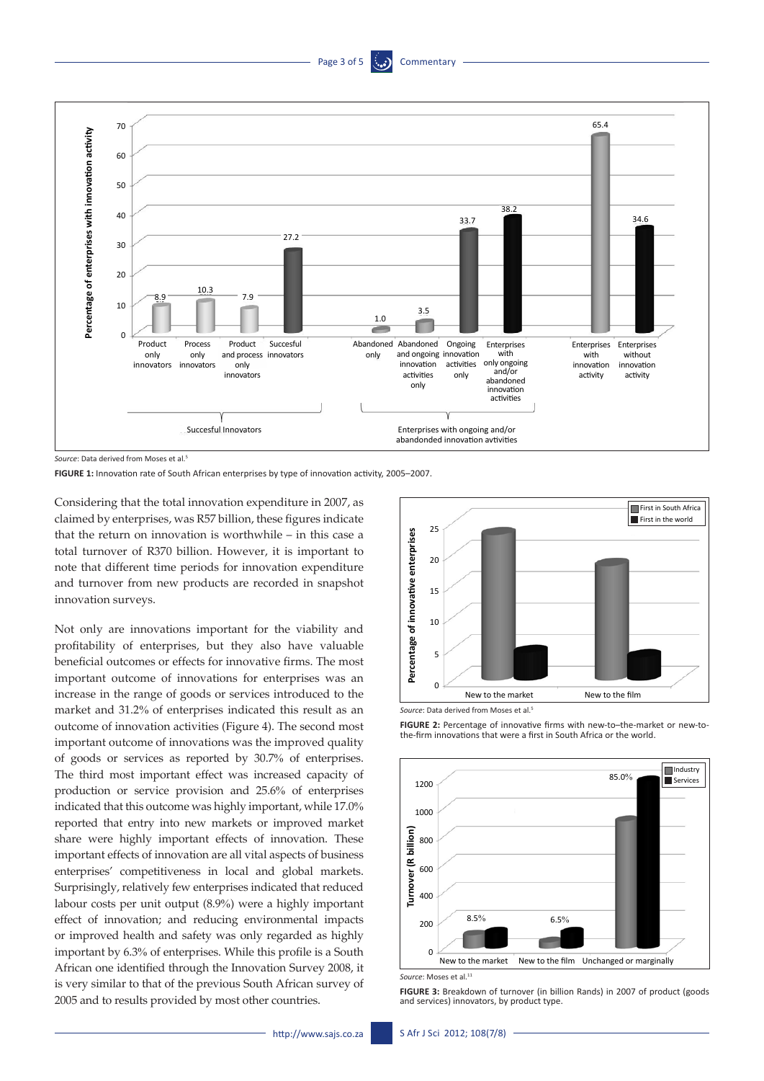



*Source*: Data derived from Moses et al.5

**FIGURE 1:** Innovation rate of South African enterprises by type of innovation activity, 2005–2007.

Considering that the total innovation expenditure in 2007, as claimed by enterprises, was R57 billion, these figures indicate that the return on innovation is worthwhile – in this case a total turnover of R370 billion. However, it is important to note that different time periods for innovation expenditure and turnover from new products are recorded in snapshot innovation surveys.

Not only are innovations important for the viability and profitability of enterprises, but they also have valuable beneficial outcomes or effects for innovative firms. The most important outcome of innovations for enterprises was an increase in the range of goods or services introduced to the market and 31.2% of enterprises indicated this result as an outcome of innovation activities (Figure 4). The second most important outcome of innovations was the improved quality of goods or services as reported by 30.7% of enterprises. The third most important effect was increased capacity of production or service provision and 25.6% of enterprises indicated that this outcome was highly important, while 17.0% reported that entry into new markets or improved market share were highly important effects of innovation. These important effects of innovation are all vital aspects of business enterprises' competitiveness in local and global markets. Surprisingly, relatively few enterprises indicated that reduced labour costs per unit output (8.9%) were a highly important effect of innovation; and reducing environmental impacts or improved health and safety was only regarded as highly important by 6.3% of enterprises. While this profile is a South African one identified through the Innovation Survey 2008, it is very similar to that of the previous South African survey of 2008<br>
2008<br>
2008<br>
2008<br>
2008<br>
2008<br>
2008<br>
2008<br>
2008<br>
2008<br>
2008<br>
2008<br>
2008<br>
2008<br>
2008<br>
2008<br>
2008<br>
2008<br>
2008<br>
2008<br>
2008<br>
2008<br>
2008<br>
2008<br>
2008<br>
2009 By most other contents provided innovation<br>
2008<br>
2008<br>
2008 By the





**FIGURE 2:** Percentage of innovative firms with new-to-the-market or new-tothe-firm innovations that were a first in South Africa or the world.



*Source*: Moses et al.11

**FIGURE 3:** Breakdown of turnover (in billion Rands) in 2007 of product (goods and services) innovators, by product type.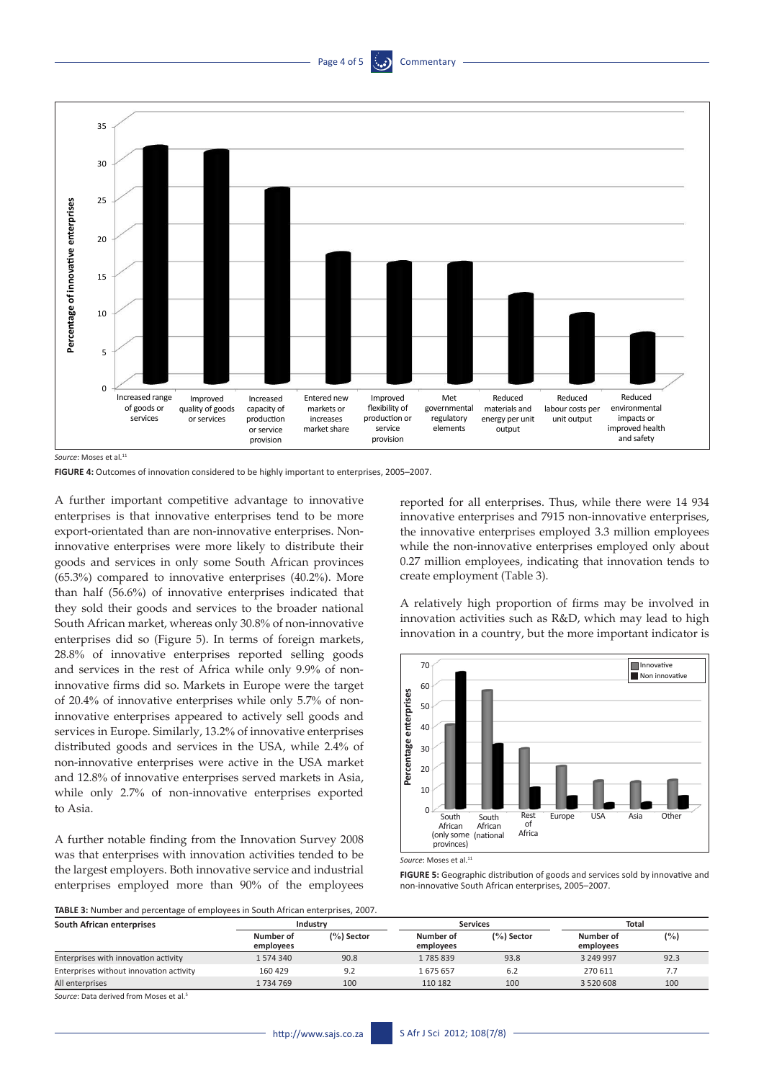## Page 4 of 5



Source: Moses et al.<sup>11</sup>

**FIGURE 4:** Outcomes of innovation considered to be highly important to enterprises, 2005–2007.

A further important competitive advantage to innovative enterprises is that innovative enterprises tend to be more export-orientated than are non-innovative enterprises. Noninnovative enterprises were more likely to distribute their goods and services in only some South African provinces (65.3%) compared to innovative enterprises (40.2%). More than half (56.6%) of innovative enterprises indicated that they sold their goods and services to the broader national South African market, whereas only 30.8% of non-innovative enterprises did so (Figure 5). In terms of foreign markets, 28.8% of innovative enterprises reported selling goods and services in the rest of Africa while only 9.9% of noninnovative firms did so. Markets in Europe were the target of 20.4% of innovative enterprises while only 5.7% of noninnovative enterprises appeared to actively sell goods and services in Europe. Similarly, 13.2% of innovative enterprises distributed goods and services in the USA, while 2.4% of non-innovative enterprises were active in the USA market and 12.8% of innovative enterprises served markets in Asia, while only 2.7% of non-innovative enterprises exported to Asia.

A further notable finding from the Innovation Survey 2008 was that enterprises with innovation activities tended to be the largest employers. Both innovative service and industrial enterprises employed more than 90% of the employees reported for all enterprises. Thus, while there were 14 934 innovative enterprises and 7915 non-innovative enterprises, the innovative enterprises employed 3.3 million employees while the non-innovative enterprises employed only about 0.27 million employees, indicating that innovation tends to create employment (Table 3).

A relatively high proportion of firms may be involved in innovation activities such as R&D, which may lead to high innovation in a country, but the more important indicator is



Source: Moses et al.<sup>11</sup>

**FIGURE 5:** Geographic distribution of goods and services sold by innovative and non-innovative South African enterprises, 2005–2007.

**TABLE 3:** Number and percentage of employees in South African enterprises, 2007.

| South African enterprises               |                        | Industry     |                        | <b>Services</b> |                        | Total |  |
|-----------------------------------------|------------------------|--------------|------------------------|-----------------|------------------------|-------|--|
|                                         | Number of<br>employees | $(%)$ Sector | Number of<br>employees | $(%)$ Sector    | Number of<br>employees | (%)   |  |
| Enterprises with innovation activity    | 1574340                | 90.8         | 1785839                | 93.8            | 3 249 997              | 92.3  |  |
| Enterprises without innovation activity | 160 429                | 9.2          | 1675657                | 6.2             | 270 611                | 7.7   |  |
| All enterprises                         | 1 734 769              | 100          | 110 182                | 100             | 3 5 2 0 6 0 8          | 100   |  |

**Source: Data derived from Moses et al.**